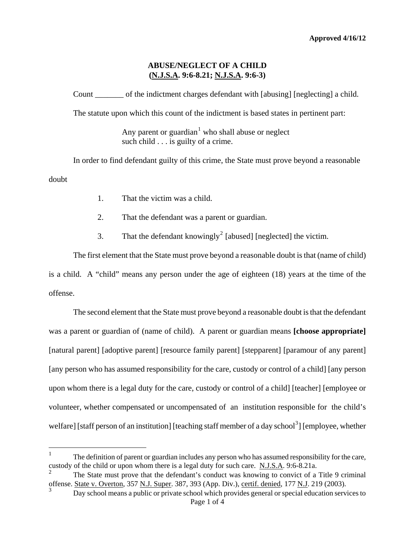# **ABUSE/NEGLECT OF A CHILD (N.J.S.A. 9:6-8.21; N.J.S.A. 9:6-3)**

Count of the indictment charges defendant with [abusing] [neglecting] a child.

The statute upon which this count of the indictment is based states in pertinent part:

Any parent or guardian<sup>[1](#page-0-0)</sup> who shall abuse or neglect such child . . . is guilty of a crime.

In order to find defendant guilty of this crime, the State must prove beyond a reasonable doubt

- 1. That the victim was a child.
- 2. That the defendant was a parent or guardian.
- 3. That the defendant knowingly<sup>[2](#page-0-1)</sup> [abused] [neglected] the victim.

The first element that the State must prove beyond a reasonable doubt is that (name of child) is a child. A "child" means any person under the age of eighteen (18) years at the time of the offense.

The second element that the State must prove beyond a reasonable doubt is that the defendant was a parent or guardian of (name of child). A parent or guardian means **[choose appropriate]** [natural parent] [adoptive parent] [resource family parent] [stepparent] [paramour of any parent] [any person who has assumed responsibility for the care, custody or control of a child] [any person upon whom there is a legal duty for the care, custody or control of a child] [teacher] [employee or volunteer, whether compensated or uncompensated of an institution responsible for the child's welfare] [staff person of an institution] [teaching staff member of a day school<sup>[3](#page-0-2)</sup>] [employee, whether

<span id="page-0-0"></span> $\frac{1}{1}$  The definition of parent or guardian includes any person who has assumed responsibility for the care, custody of the child or upon whom there is a legal duty for such care. N.J.S.A. 9:6-8.21a.

<span id="page-0-3"></span><span id="page-0-1"></span>The State must prove that the defendant's conduct was knowing to convict of a Title 9 criminal offense. State v. Overton, 357 N.J. Super. 387, 393 (App. Div.), certif. denied, 177 N.J. 219 (2003).

<span id="page-0-2"></span>Page 1 of 4 3 Day school means a public or private school which provides general or special education services to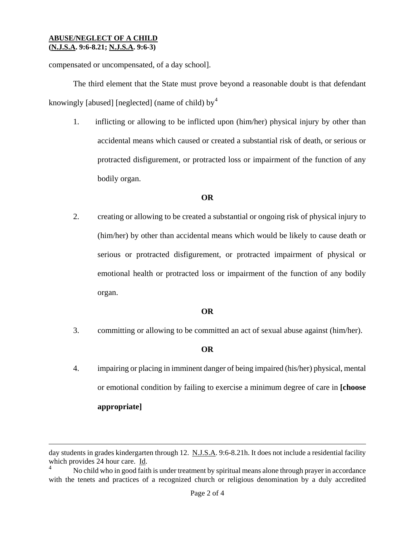i

compensated or uncompensated, of a day school].

The third element that the State must prove beyond a reasonable doubt is that defendant knowingly [abused] [neglected] (name of child) by<sup>[4](#page-0-3)</sup>

1. inflicting or allowing to be inflicted upon (him/her) physical injury by other than accidental means which caused or created a substantial risk of death, or serious or protracted disfigurement, or protracted loss or impairment of the function of any bodily organ.

# **OR**

2. creating or allowing to be created a substantial or ongoing risk of physical injury to (him/her) by other than accidental means which would be likely to cause death or serious or protracted disfigurement, or protracted impairment of physical or emotional health or protracted loss or impairment of the function of any bodily organ.

# **OR**

3. committing or allowing to be committed an act of sexual abuse against (him/her).

### **OR**

4. impairing or placing in imminent danger of being impaired (his/her) physical, mental or emotional condition by failing to exercise a minimum degree of care in **[choose appropriate]** 

<span id="page-1-0"></span>day students in grades kindergarten through 12. N.J.S.A. 9:6-8.21h. It does not include a residential facility which provides 24 hour care. Id.

No child who in good faith is under treatment by spiritual means alone through prayer in accordance with the tenets and practices of a recognized church or religious denomination by a duly accredited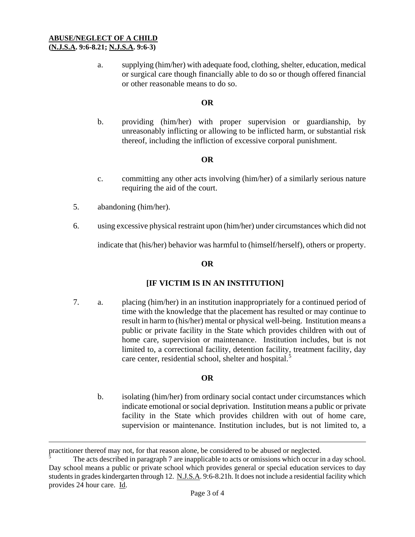#### **ABUSE/NEGLECT OF A CHILD (N.J.S.A. 9:6-8.21; N.J.S.A. 9:6-3)**

a. supplying (him/her) with adequate food, clothing, shelter, education, medical or surgical care though financially able to do so or though offered financial or other reasonable means to do so.

# **OR**

b. providing (him/her) with proper supervision or guardianship, by unreasonably inflicting or allowing to be inflicted harm, or substantial risk thereof, including the infliction of excessive corporal punishment.

# **OR**

- c. committing any other acts involving (him/her) of a similarly serious nature requiring the aid of the court.
- 5. abandoning (him/her).

i<br>Li

6. using excessive physical restraint upon (him/her) under circumstances which did not

indicate that (his/her) behavior was harmful to (himself/herself), others or property.

# **OR**

# **[IF VICTIM IS IN AN INSTITUTION]**

7. a. placing (him/her) in an institution inappropriately for a continued period of time with the knowledge that the placement has resulted or may continue to result in harm to (his/her) mental or physical well-being. Institution means a public or private facility in the State which provides children with out of home care, supervision or maintenance. Institution includes, but is not limited to, a correctional facility, detention facility, treatment facility, day care center, residential school, shelter and hospital.<sup>[5](#page-1-0)</sup>

### **OR**

 b. isolating (him/her) from ordinary social contact under circumstances which indicate emotional or social deprivation. Institution means a public or private facility in the State which provides children with out of home care, supervision or maintenance. Institution includes, but is not limited to, a

practitioner thereof may not, for that reason alone, be considered to be abused or neglected.<br>
The esta described in personal 7 are inepplied to esta or original which essentially

<span id="page-2-0"></span>The acts described in paragraph 7 are inapplicable to acts or omissions which occur in a day school. Day school means a public or private school which provides general or special education services to day students in grades kindergarten through 12. N.J.S.A. 9:6-8.21h. It does not include a residential facility which provides 24 hour care. Id.